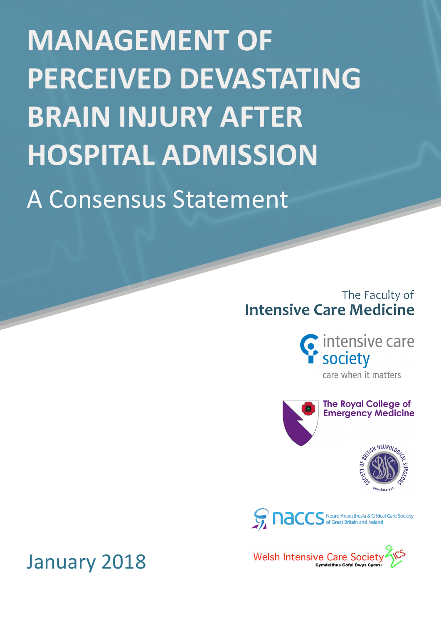**MANAGEMENT OF PERCEIVED DEVASTATING BRAIN INJURY AFTER HOSPITAL ADMISSION** A Consensus Statement

### The Faculty of **Intensive Care Medicine**

Cintensive care<br>Society

care when it matters



**The Royal College of Emergency Medicine** 





**Welsh Intensive Care Society Cymdeithas Gofal Dwys Cymr** 

# January 2018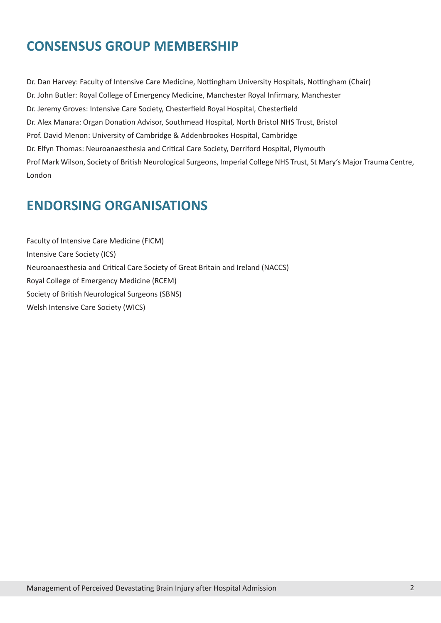### **CONSENSUS GROUP MEMBERSHIP**

Dr. Dan Harvey: Faculty of Intensive Care Medicine, Nottingham University Hospitals, Nottingham (Chair) Dr. John Butler: Royal College of Emergency Medicine, Manchester Royal Infirmary, Manchester Dr. Jeremy Groves: Intensive Care Society, Chesterfield Royal Hospital, Chesterfield Dr. Alex Manara: Organ Donation Advisor, Southmead Hospital, North Bristol NHS Trust, Bristol Prof. David Menon: University of Cambridge & Addenbrookes Hospital, Cambridge Dr. Elfyn Thomas: Neuroanaesthesia and Critical Care Society, Derriford Hospital, Plymouth Prof Mark Wilson, Society of British Neurological Surgeons, Imperial College NHS Trust, St Mary's Major Trauma Centre, London

### **ENDORSING ORGANISATIONS**

Faculty of Intensive Care Medicine (FICM) Intensive Care Society (ICS) Neuroanaesthesia and Critical Care Society of Great Britain and Ireland (NACCS) Royal College of Emergency Medicine (RCEM) Society of British Neurological Surgeons (SBNS) Welsh Intensive Care Society (WICS)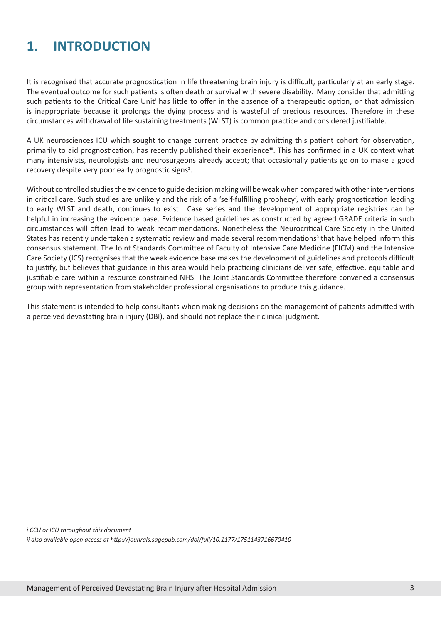# **1. INTRODUCTION**

It is recognised that accurate prognostication in life threatening brain injury is difficult, particularly at an early stage. The eventual outcome for such patients is often death or survival with severe disability. Many consider that admitting such patients to the Critical Care Unit<sup>i</sup> has little to offer in the absence of a therapeutic option, or that admission is inappropriate because it prolongs the dying process and is wasteful of precious resources. Therefore in these circumstances withdrawal of life sustaining treatments (WLST) is common practice and considered justifiable.

A UK neurosciences ICU which sought to change current practice by admitting this patient cohort for observation, primarily to aid prognostication, has recently published their experience<sup>1ii</sup>. This has confirmed in a UK context what many intensivists, neurologists and neurosurgeons already accept; that occasionally patients go on to make a good recovery despite very poor early prognostic signs<sup>2</sup>.

Without controlled studies the evidence to guide decision making will be weak when compared with other interventions in critical care. Such studies are unlikely and the risk of a 'self-fulfilling prophecy', with early prognostication leading to early WLST and death, continues to exist. Case series and the development of appropriate registries can be helpful in increasing the evidence base. Evidence based guidelines as constructed by agreed GRADE criteria in such circumstances will often lead to weak recommendations. Nonetheless the Neurocritical Care Society in the United States has recently undertaken a systematic review and made several recommendations<sup>3</sup> that have helped inform this consensus statement. The Joint Standards Committee of Faculty of Intensive Care Medicine (FICM) and the Intensive Care Society (ICS) recognises that the weak evidence base makes the development of guidelines and protocols difficult to justify, but believes that guidance in this area would help practicing clinicians deliver safe, effective, equitable and justifiable care within a resource constrained NHS. The Joint Standards Committee therefore convened a consensus group with representation from stakeholder professional organisations to produce this guidance.

This statement is intended to help consultants when making decisions on the management of patients admitted with a perceived devastating brain injury (DBI), and should not replace their clinical judgment.

*i CCU or ICU throughout this document ii also available open access at http://jounrals.sagepub.com/doi/full/10.1177/1751143716670410*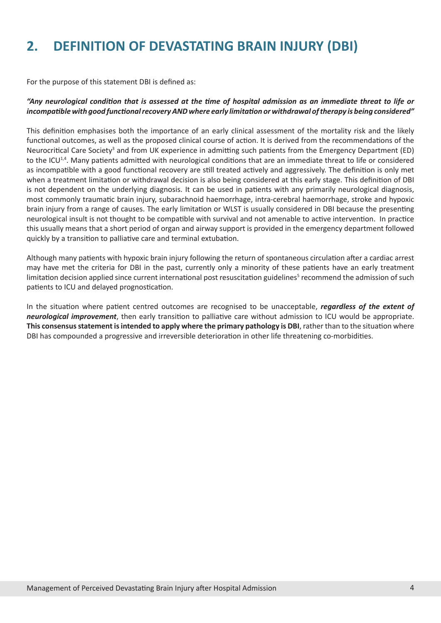# **2. DEFINITION OF DEVASTATING BRAIN INJURY (DBI)**

For the purpose of this statement DBI is defined as:

### *"Any neurological condition that is assessed at the time of hospital admission as an immediate threat to life or incompatible with good functional recovery AND where early limitation or withdrawal of therapy is being considered"*

This definition emphasises both the importance of an early clinical assessment of the mortality risk and the likely functional outcomes, as well as the proposed clinical course of action. It is derived from the recommendations of the Neurocritical Care Society<sup>3</sup> and from UK experience in admitting such patients from the Emergency Department (ED) to the ICU<sup>1,4</sup>. Many patients admitted with neurological conditions that are an immediate threat to life or considered as incompatible with a good functional recovery are still treated actively and aggressively. The definition is only met when a treatment limitation or withdrawal decision is also being considered at this early stage. This definition of DBI is not dependent on the underlying diagnosis. It can be used in patients with any primarily neurological diagnosis, most commonly traumatic brain injury, subarachnoid haemorrhage, intra-cerebral haemorrhage, stroke and hypoxic brain injury from a range of causes. The early limitation or WLST is usually considered in DBI because the presenting neurological insult is not thought to be compatible with survival and not amenable to active intervention. In practice this usually means that a short period of organ and airway support is provided in the emergency department followed quickly by a transition to palliative care and terminal extubation.

Although many patients with hypoxic brain injury following the return of spontaneous circulation after a cardiac arrest may have met the criteria for DBI in the past, currently only a minority of these patients have an early treatment limitation decision applied since current international post resuscitation guidelines<sup>5</sup> recommend the admission of such patients to ICU and delayed prognostication.

In the situation where patient centred outcomes are recognised to be unacceptable, *regardless of the extent of neurological improvement*, then early transition to palliative care without admission to ICU would be appropriate. **This consensus statement is intended to apply where the primary pathology is DBI**, rather than to the situation where DBI has compounded a progressive and irreversible deterioration in other life threatening co-morbidities.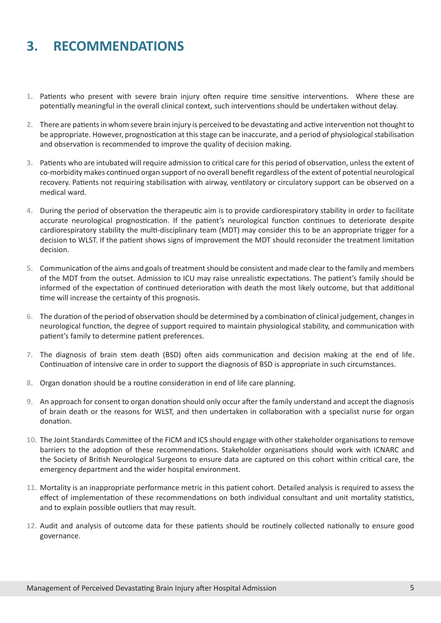# **3. RECOMMENDATIONS**

- **1.** Patients who present with severe brain injury often require time sensitive interventions. Where these are potentially meaningful in the overall clinical context, such interventions should be undertaken without delay.
- **2.** There are patients in whom severe brain injury is perceived to be devastating and active intervention not thought to be appropriate. However, prognostication at this stage can be inaccurate, and a period of physiological stabilisation and observation is recommended to improve the quality of decision making.
- **3.** Patients who are intubated will require admission to critical care for this period of observation, unless the extent of co-morbidity makes continued organ support of no overall benefit regardless of the extent of potential neurological recovery. Patients not requiring stabilisation with airway, ventilatory or circulatory support can be observed on a medical ward.
- **4.** During the period of observation the therapeutic aim is to provide cardiorespiratory stability in order to facilitate accurate neurological prognostication. If the patient's neurological function continues to deteriorate despite cardiorespiratory stability the multi-disciplinary team (MDT) may consider this to be an appropriate trigger for a decision to WLST. If the patient shows signs of improvement the MDT should reconsider the treatment limitation decision.
- **5.** Communication of the aims and goals of treatment should be consistent and made clear to the family and members of the MDT from the outset. Admission to ICU may raise unrealistic expectations. The patient's family should be informed of the expectation of continued deterioration with death the most likely outcome, but that additional time will increase the certainty of this prognosis.
- **6.** The duration of the period of observation should be determined by a combination of clinical judgement, changes in neurological function, the degree of support required to maintain physiological stability, and communication with patient's family to determine patient preferences.
- **7.** The diagnosis of brain stem death (BSD) often aids communication and decision making at the end of life. Continuation of intensive care in order to support the diagnosis of BSD is appropriate in such circumstances.
- **8.** Organ donation should be a routine consideration in end of life care planning.
- **9.** An approach for consent to organ donation should only occur after the family understand and accept the diagnosis of brain death or the reasons for WLST, and then undertaken in collaboration with a specialist nurse for organ donation.
- **10.** The Joint Standards Committee of the FICM and ICS should engage with other stakeholder organisations to remove barriers to the adoption of these recommendations. Stakeholder organisations should work with ICNARC and the Society of British Neurological Surgeons to ensure data are captured on this cohort within critical care, the emergency department and the wider hospital environment.
- **11.** Mortality is an inappropriate performance metric in this patient cohort. Detailed analysis is required to assess the effect of implementation of these recommendations on both individual consultant and unit mortality statistics, and to explain possible outliers that may result.
- **12.** Audit and analysis of outcome data for these patients should be routinely collected nationally to ensure good governance.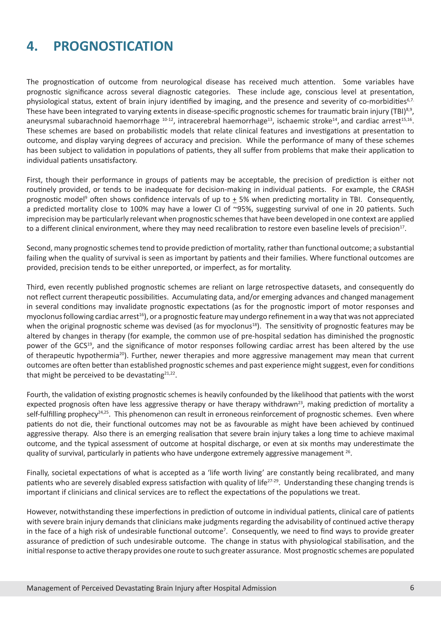# **4. PROGNOSTICATION**

The prognostication of outcome from neurological disease has received much attention. Some variables have prognostic significance across several diagnostic categories. These include age, conscious level at presentation, physiological status, extent of brain injury identified by imaging, and the presence and severity of co-morbidities<sup>6,7.</sup> These have been integrated to varying extents in disease-specific prognostic schemes for traumatic brain injury (TBI)<sup>8,9</sup>, aneurysmal subarachnoid haemorrhage  $10-12$ , intracerebral haemorrhage<sup>13</sup>, ischaemic stroke<sup>14</sup>, and cardiac arrest<sup>15,16</sup>. These schemes are based on probabilistic models that relate clinical features and investigations at presentation to outcome, and display varying degrees of accuracy and precision. While the performance of many of these schemes has been subject to validation in populations of patients, they all suffer from problems that make their application to individual patients unsatisfactory.

First, though their performance in groups of patients may be acceptable, the precision of prediction is either not routinely provided, or tends to be inadequate for decision-making in individual patients. For example, the CRASH prognostic model<sup>9</sup> often shows confidence intervals of up to  $\pm$  5% when predicting mortality in TBI. Consequently, a predicted mortality close to 100% may have a lower CI of ~95%, suggesting survival of one in 20 patients. Such imprecision may be particularly relevant when prognostic schemes that have been developed in one context are applied to a different clinical environment, where they may need recalibration to restore even baseline levels of precision<sup>17</sup>.

Second, many prognostic schemes tend to provide prediction of mortality, rather than functional outcome; a substantial failing when the quality of survival is seen as important by patients and their families. Where functional outcomes are provided, precision tends to be either unreported, or imperfect, as for mortality.

Third, even recently published prognostic schemes are reliant on large retrospective datasets, and consequently do not reflect current therapeutic possibilities. Accumulating data, and/or emerging advances and changed management in several conditions may invalidate prognostic expectations (as for the prognostic import of motor responses and myoclonus following cardiac arrest<sup>16</sup>), or a prognostic feature may undergo refinement in a way that was not appreciated when the original prognostic scheme was devised (as for myoclonus<sup>18</sup>). The sensitivity of prognostic features may be altered by changes in therapy (for example, the common use of pre-hospital sedation has diminished the prognostic power of the GCS19, and the significance of motor responses following cardiac arrest has been altered by the use of therapeutic hypothermia<sup>20</sup>). Further, newer therapies and more aggressive management may mean that current outcomes are often better than established prognostic schemes and past experience might suggest, even for conditions that might be perceived to be devastating $21,22$ .

Fourth, the validation of existing prognostic schemes is heavily confounded by the likelihood that patients with the worst expected prognosis often have less aggressive therapy or have therapy withdrawn<sup>23</sup>, making prediction of mortality a self-fulfilling prophecy<sup>24,25</sup>. This phenomenon can result in erroneous reinforcement of prognostic schemes. Even where patients do not die, their functional outcomes may not be as favourable as might have been achieved by continued aggressive therapy. Also there is an emerging realisation that severe brain injury takes a long time to achieve maximal outcome, and the typical assessment of outcome at hospital discharge, or even at six months may underestimate the quality of survival, particularly in patients who have undergone extremely aggressive management <sup>26</sup>.

Finally, societal expectations of what is accepted as a 'life worth living' are constantly being recalibrated, and many patients who are severely disabled express satisfaction with quality of life<sup>27-29</sup>. Understanding these changing trends is important if clinicians and clinical services are to reflect the expectations of the populations we treat.

However, notwithstanding these imperfections in prediction of outcome in individual patients, clinical care of patients with severe brain injury demands that clinicians make judgments regarding the advisability of continued active therapy in the face of a high risk of undesirable functional outcome<sup>7</sup>. Consequently, we need to find ways to provide greater assurance of prediction of such undesirable outcome. The change in status with physiological stabilisation, and the initial response to active therapy provides one route to such greater assurance. Most prognostic schemes are populated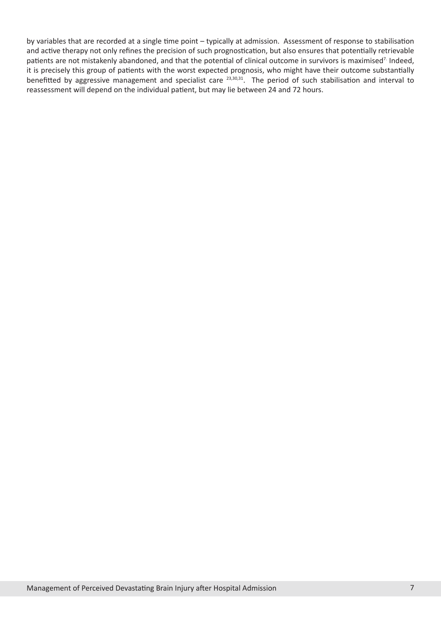by variables that are recorded at a single time point – typically at admission. Assessment of response to stabilisation and active therapy not only refines the precision of such prognostication, but also ensures that potentially retrievable patients are not mistakenly abandoned, and that the potential of clinical outcome in survivors is maximised<sup>7.</sup> Indeed, it is precisely this group of patients with the worst expected prognosis, who might have their outcome substantially benefitted by aggressive management and specialist care <sup>23,30,31</sup>. The period of such stabilisation and interval to reassessment will depend on the individual patient, but may lie between 24 and 72 hours.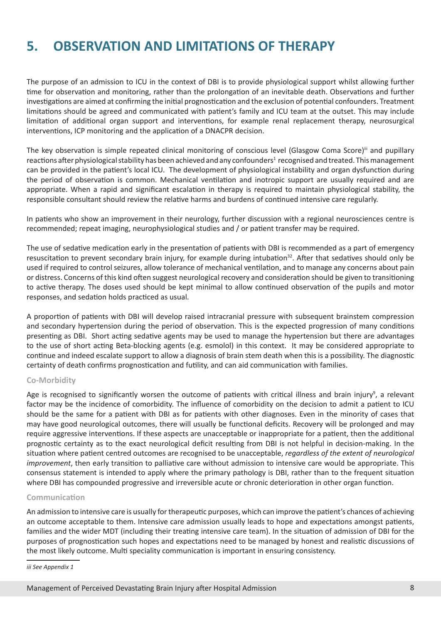## **5. OBSERVATION AND LIMITATIONS OF THERAPY**

The purpose of an admission to ICU in the context of DBI is to provide physiological support whilst allowing further time for observation and monitoring, rather than the prolongation of an inevitable death. Observations and further investigations are aimed at confirming the initial prognostication and the exclusion of potential confounders. Treatment limitations should be agreed and communicated with patient's family and ICU team at the outset. This may include limitation of additional organ support and interventions, for example renal replacement therapy, neurosurgical interventions, ICP monitoring and the application of a DNACPR decision.

The key observation is simple repeated clinical monitoring of conscious level (Glasgow Coma Score)<sup>iii</sup> and pupillary reactions after physiological stability has been achieved and any confounders<sup>1</sup> recognised and treated. This management can be provided in the patient's local ICU. The development of physiological instability and organ dysfunction during the period of observation is common. Mechanical ventilation and inotropic support are usually required and are appropriate. When a rapid and significant escalation in therapy is required to maintain physiological stability, the responsible consultant should review the relative harms and burdens of continued intensive care regularly.

In patients who show an improvement in their neurology, further discussion with a regional neurosciences centre is recommended; repeat imaging, neurophysiological studies and / or patient transfer may be required.

The use of sedative medication early in the presentation of patients with DBI is recommended as a part of emergency resuscitation to prevent secondary brain injury, for example during intubation $32$ . After that sedatives should only be used if required to control seizures, allow tolerance of mechanical ventilation, and to manage any concerns about pain or distress. Concerns of this kind often suggest neurological recovery and consideration should be given to transitioning to active therapy. The doses used should be kept minimal to allow continued observation of the pupils and motor responses, and sedation holds practiced as usual.

A proportion of patients with DBI will develop raised intracranial pressure with subsequent brainstem compression and secondary hypertension during the period of observation. This is the expected progression of many conditions presenting as DBI. Short acting sedative agents may be used to manage the hypertension but there are advantages to the use of short acting Beta-blocking agents (e.g. esmolol) in this context. It may be considered appropriate to continue and indeed escalate support to allow a diagnosis of brain stem death when this is a possibility. The diagnostic certainty of death confirms prognostication and futility, and can aid communication with families.

### **Co-Morbidity**

Age is recognised to significantly worsen the outcome of patients with critical illness and brain injury<sup>9</sup>, a relevant factor may be the incidence of comorbidity. The influence of comorbidity on the decision to admit a patient to ICU should be the same for a patient with DBI as for patients with other diagnoses. Even in the minority of cases that may have good neurological outcomes, there will usually be functional deficits. Recovery will be prolonged and may require aggressive interventions. If these aspects are unacceptable or inappropriate for a patient, then the additional prognostic certainty as to the exact neurological deficit resulting from DBI is not helpful in decision-making. In the situation where patient centred outcomes are recognised to be unacceptable, *regardless of the extent of neurological improvement*, then early transition to palliative care without admission to intensive care would be appropriate. This consensus statement is intended to apply where the primary pathology is DBI, rather than to the frequent situation where DBI has compounded progressive and irreversible acute or chronic deterioration in other organ function.

#### **Communication**

An admission to intensive care is usually for therapeutic purposes, which can improve the patient's chances of achieving an outcome acceptable to them. Intensive care admission usually leads to hope and expectations amongst patients, families and the wider MDT (including their treating intensive care team). In the situation of admission of DBI for the purposes of prognostication such hopes and expectations need to be managed by honest and realistic discussions of the most likely outcome. Multi speciality communication is important in ensuring consistency.

#### *iii See Appendix 1*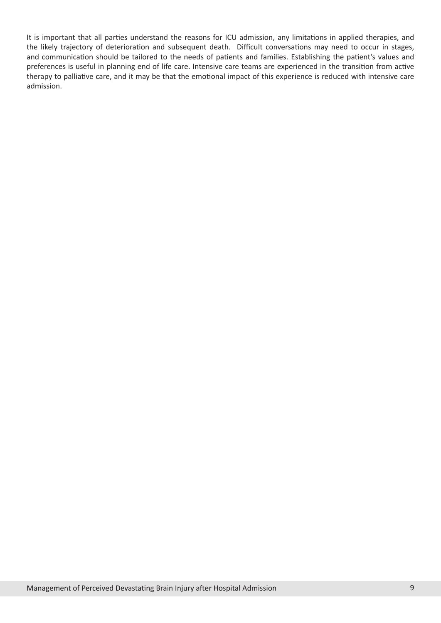It is important that all parties understand the reasons for ICU admission, any limitations in applied therapies, and the likely trajectory of deterioration and subsequent death. Difficult conversations may need to occur in stages, and communication should be tailored to the needs of patients and families. Establishing the patient's values and preferences is useful in planning end of life care. Intensive care teams are experienced in the transition from active therapy to palliative care, and it may be that the emotional impact of this experience is reduced with intensive care admission.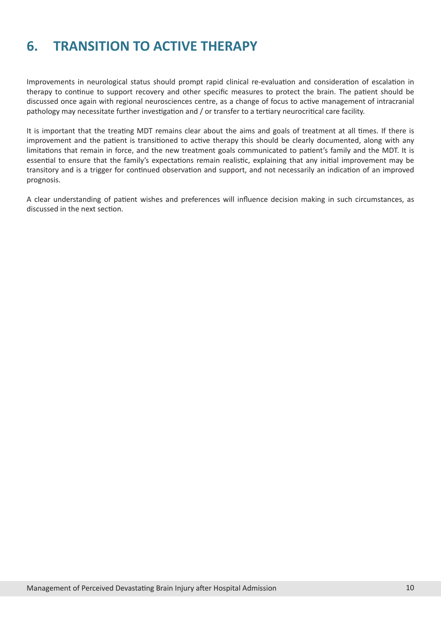### **6. TRANSITION TO ACTIVE THERAPY**

Improvements in neurological status should prompt rapid clinical re-evaluation and consideration of escalation in therapy to continue to support recovery and other specific measures to protect the brain. The patient should be discussed once again with regional neurosciences centre, as a change of focus to active management of intracranial pathology may necessitate further investigation and / or transfer to a tertiary neurocritical care facility.

It is important that the treating MDT remains clear about the aims and goals of treatment at all times. If there is improvement and the patient is transitioned to active therapy this should be clearly documented, along with any limitations that remain in force, and the new treatment goals communicated to patient's family and the MDT. It is essential to ensure that the family's expectations remain realistic, explaining that any initial improvement may be transitory and is a trigger for continued observation and support, and not necessarily an indication of an improved prognosis.

A clear understanding of patient wishes and preferences will influence decision making in such circumstances, as discussed in the next section.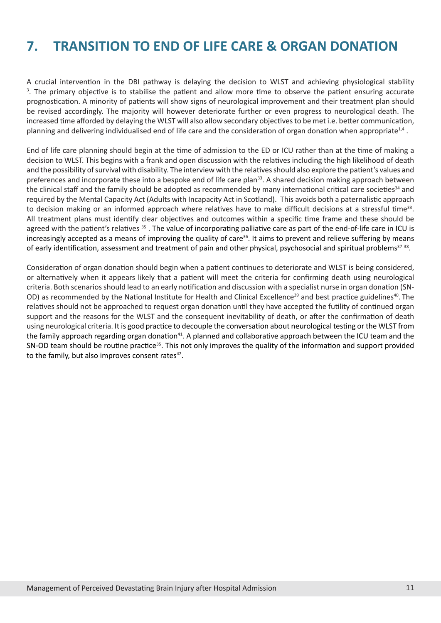### **7. TRANSITION TO END OF LIFE CARE & ORGAN DONATION**

A crucial intervention in the DBI pathway is delaying the decision to WLST and achieving physiological stability <sup>3</sup>. The primary objective is to stabilise the patient and allow more time to observe the patient ensuring accurate prognostication. A minority of patients will show signs of neurological improvement and their treatment plan should be revised accordingly. The majority will however deteriorate further or even progress to neurological death. The increased time afforded by delaying the WLST will also allow secondary objectives to be met i.e. better communication, planning and delivering individualised end of life care and the consideration of organ donation when appropriate<sup>1,4</sup>.

End of life care planning should begin at the time of admission to the ED or ICU rather than at the time of making a decision to WLST. This begins with a frank and open discussion with the relatives including the high likelihood of death and the possibility of survival with disability. The interview with the relatives should also explore the patient's values and preferences and incorporate these into a bespoke end of life care plan<sup>33</sup>. A shared decision making approach between the clinical staff and the family should be adopted as recommended by many international critical care societies<sup>34</sup> and required by the Mental Capacity Act (Adults with Incapacity Act in Scotland). This avoids both a paternalistic approach to decision making or an informed approach where relatives have to make difficult decisions at a stressful time<sup>33</sup>. All treatment plans must identify clear objectives and outcomes within a specific time frame and these should be agreed with the patient's relatives 35. The value of incorporating palliative care as part of the end-of-life care in ICU is increasingly accepted as a means of improving the quality of care<sup>36</sup>. It aims to prevent and relieve suffering by means of early identification, assessment and treatment of pain and other physical, psychosocial and spiritual problems<sup>37</sup> 38.

Consideration of organ donation should begin when a patient continues to deteriorate and WLST is being considered, or alternatively when it appears likely that a patient will meet the criteria for confirming death using neurological criteria. Both scenarios should lead to an early notification and discussion with a specialist nurse in organ donation (SN-OD) as recommended by the National Institute for Health and Clinical Excellence<sup>39</sup> and best practice guidelines<sup>40</sup>. The relatives should not be approached to request organ donation until they have accepted the futility of continued organ support and the reasons for the WLST and the consequent inevitability of death, or after the confirmation of death using neurological criteria. It is good practice to decouple the conversation about neurological testing or the WLST from the family approach regarding organ donation<sup>41</sup>. A planned and collaborative approach between the ICU team and the SN-OD team should be routine practice<sup>35</sup>. This not only improves the quality of the information and support provided to the family, but also improves consent rates<sup>42</sup>.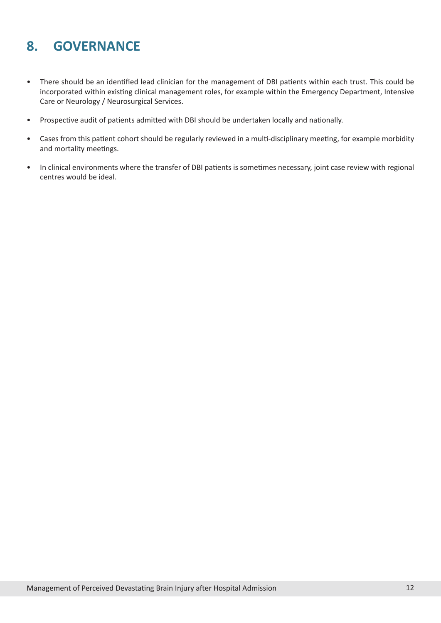# **8. GOVERNANCE**

- There should be an identified lead clinician for the management of DBI patients within each trust. This could be incorporated within existing clinical management roles, for example within the Emergency Department, Intensive Care or Neurology / Neurosurgical Services.
- Prospective audit of patients admitted with DBI should be undertaken locally and nationally.
- Cases from this patient cohort should be regularly reviewed in a multi-disciplinary meeting, for example morbidity and mortality meetings.
- In clinical environments where the transfer of DBI patients is sometimes necessary, joint case review with regional centres would be ideal.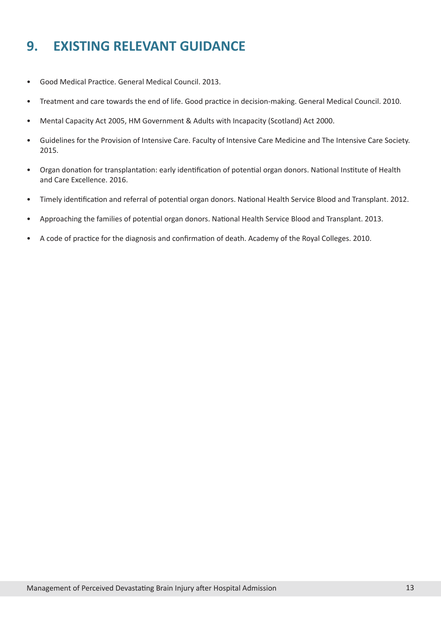# **9. EXISTING RELEVANT GUIDANCE**

- Good Medical Practice. General Medical Council. 2013.
- Treatment and care towards the end of life. Good practice in decision-making. General Medical Council. 2010.
- Mental Capacity Act 2005, HM Government & Adults with Incapacity (Scotland) Act 2000.
- Guidelines for the Provision of Intensive Care. Faculty of Intensive Care Medicine and The Intensive Care Society. 2015.
- Organ donation for transplantation: early identification of potential organ donors. National Institute of Health and Care Excellence. 2016.
- Timely identification and referral of potential organ donors. National Health Service Blood and Transplant. 2012.
- Approaching the families of potential organ donors. National Health Service Blood and Transplant. 2013.
- A code of practice for the diagnosis and confirmation of death. Academy of the Royal Colleges. 2010.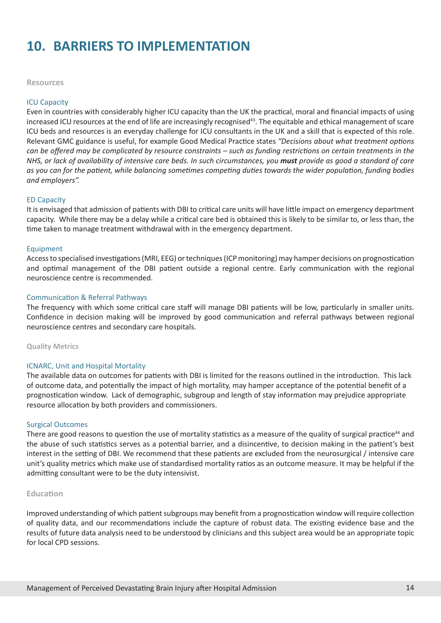# **10. BARRIERS TO IMPLEMENTATION**

**Resources**

#### ICU Capacity

Even in countries with considerably higher ICU capacity than the UK the practical, moral and financial impacts of using increased ICU resources at the end of life are increasingly recognised<sup>43</sup>. The equitable and ethical management of scare ICU beds and resources is an everyday challenge for ICU consultants in the UK and a skill that is expected of this role. Relevant GMC guidance is useful, for example Good Medical Practice states *"Decisions about what treatment options can be offered may be complicated by resource constraints – such as funding restrictions on certain treatments in the NHS, or lack of availability of intensive care beds. In such circumstances, you must provide as good a standard of care as you can for the patient, while balancing sometimes competing duties towards the wider population, funding bodies and employers".*

### ED Capacity

It is envisaged that admission of patients with DBI to critical care units will have little impact on emergency department capacity. While there may be a delay while a critical care bed is obtained this is likely to be similar to, or less than, the time taken to manage treatment withdrawal with in the emergency department.

#### Equipment

Access to specialised investigations (MRI, EEG) or techniques (ICP monitoring) may hamper decisions on prognostication and optimal management of the DBI patient outside a regional centre. Early communication with the regional neuroscience centre is recommended.

### Communication & Referral Pathways

The frequency with which some critical care staff will manage DBI patients will be low, particularly in smaller units. Confidence in decision making will be improved by good communication and referral pathways between regional neuroscience centres and secondary care hospitals.

#### **Quality Metrics**

#### ICNARC, Unit and Hospital Mortality

The available data on outcomes for patients with DBI is limited for the reasons outlined in the introduction. This lack of outcome data, and potentially the impact of high mortality, may hamper acceptance of the potential benefit of a prognostication window. Lack of demographic, subgroup and length of stay information may prejudice appropriate resource allocation by both providers and commissioners.

#### Surgical Outcomes

There are good reasons to question the use of mortality statistics as a measure of the quality of surgical practice<sup>44</sup> and the abuse of such statistics serves as a potential barrier, and a disincentive, to decision making in the patient's best interest in the setting of DBI. We recommend that these patients are excluded from the neurosurgical / intensive care unit's quality metrics which make use of standardised mortality ratios as an outcome measure. It may be helpful if the admitting consultant were to be the duty intensivist.

#### **Education**

Improved understanding of which patient subgroups may benefit from a prognostication window will require collection of quality data, and our recommendations include the capture of robust data. The existing evidence base and the results of future data analysis need to be understood by clinicians and this subject area would be an appropriate topic for local CPD sessions.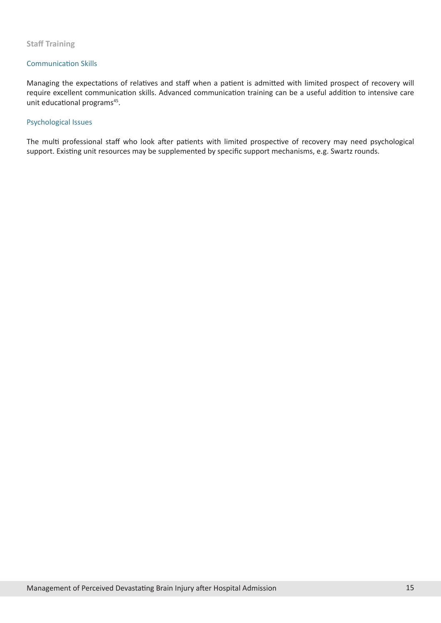### **Staff Training**

### Communication Skills

Managing the expectations of relatives and staff when a patient is admitted with limited prospect of recovery will require excellent communication skills. Advanced communication training can be a useful addition to intensive care unit educational programs<sup>45</sup>.

### Psychological Issues

The multi professional staff who look after patients with limited prospective of recovery may need psychological support. Existing unit resources may be supplemented by specific support mechanisms, e.g. Swartz rounds.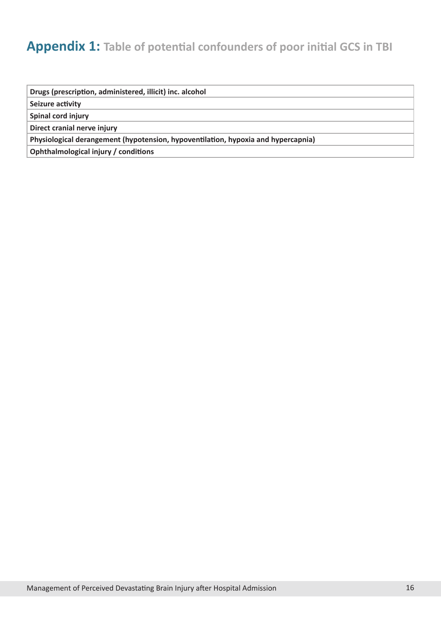### **Appendix 1: Table of potential confounders of poor initial GCS in TBI**

**Drugs (prescription, administered, illicit) inc. alcohol**

**Seizure activity**

**Spinal cord injury** 

**Direct cranial nerve injury**

**Physiological derangement (hypotension, hypoventilation, hypoxia and hypercapnia)** 

**Ophthalmological injury / conditions**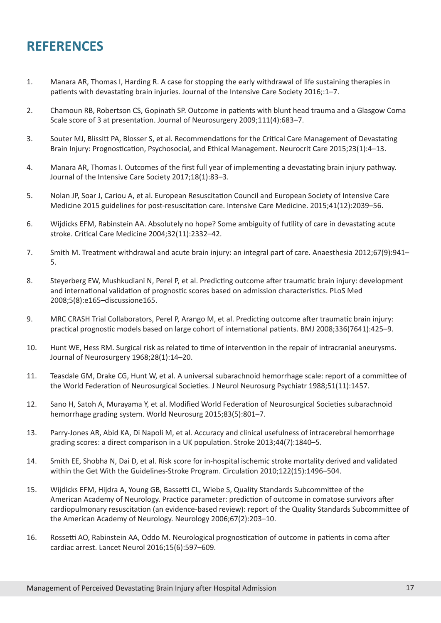### **REFERENCES**

- 1. Manara AR, Thomas I, Harding R. A case for stopping the early withdrawal of life sustaining therapies in patients with devastating brain injuries. Journal of the Intensive Care Society 2016;:1–7.
- 2. Chamoun RB, Robertson CS, Gopinath SP. Outcome in patients with blunt head trauma and a Glasgow Coma Scale score of 3 at presentation. Journal of Neurosurgery 2009;111(4):683–7.
- 3. Souter MJ, Blissitt PA, Blosser S, et al. Recommendations for the Critical Care Management of Devastating Brain Injury: Prognostication, Psychosocial, and Ethical Management. Neurocrit Care 2015;23(1):4–13.
- 4. Manara AR, Thomas I. Outcomes of the first full year of implementing a devastating brain injury pathway. Journal of the Intensive Care Society 2017;18(1):83–3.
- 5. Nolan JP, Soar J, Cariou A, et al. European Resuscitation Council and European Society of Intensive Care Medicine 2015 guidelines for post-resuscitation care. Intensive Care Medicine. 2015;41(12):2039–56.
- 6. Wijdicks EFM, Rabinstein AA. Absolutely no hope? Some ambiguity of futility of care in devastating acute stroke. Critical Care Medicine 2004;32(11):2332–42.
- 7. Smith M. Treatment withdrawal and acute brain injury: an integral part of care. Anaesthesia 2012;67(9):941– 5.
- 8. Steyerberg EW, Mushkudiani N, Perel P, et al. Predicting outcome after traumatic brain injury: development and international validation of prognostic scores based on admission characteristics. PLoS Med 2008;5(8):e165–discussione165.
- 9. MRC CRASH Trial Collaborators, Perel P, Arango M, et al. Predicting outcome after traumatic brain injury: practical prognostic models based on large cohort of international patients. BMJ 2008;336(7641):425–9.
- 10. Hunt WE, Hess RM. Surgical risk as related to time of intervention in the repair of intracranial aneurysms. Journal of Neurosurgery 1968;28(1):14–20.
- 11. Teasdale GM, Drake CG, Hunt W, et al. A universal subarachnoid hemorrhage scale: report of a committee of the World Federation of Neurosurgical Societies. J Neurol Neurosurg Psychiatr 1988;51(11):1457.
- 12. Sano H, Satoh A, Murayama Y, et al. Modified World Federation of Neurosurgical Societies subarachnoid hemorrhage grading system. World Neurosurg 2015;83(5):801–7.
- 13. Parry-Jones AR, Abid KA, Di Napoli M, et al. Accuracy and clinical usefulness of intracerebral hemorrhage grading scores: a direct comparison in a UK population. Stroke 2013;44(7):1840–5.
- 14. Smith EE, Shobha N, Dai D, et al. Risk score for in-hospital ischemic stroke mortality derived and validated within the Get With the Guidelines-Stroke Program. Circulation 2010;122(15):1496–504.
- 15. Wijdicks EFM, Hijdra A, Young GB, Bassetti CL, Wiebe S, Quality Standards Subcommittee of the American Academy of Neurology. Practice parameter: prediction of outcome in comatose survivors after cardiopulmonary resuscitation (an evidence-based review): report of the Quality Standards Subcommittee of the American Academy of Neurology. Neurology 2006;67(2):203–10.
- 16. Rossetti AO, Rabinstein AA, Oddo M. Neurological prognostication of outcome in patients in coma after cardiac arrest. Lancet Neurol 2016;15(6):597–609.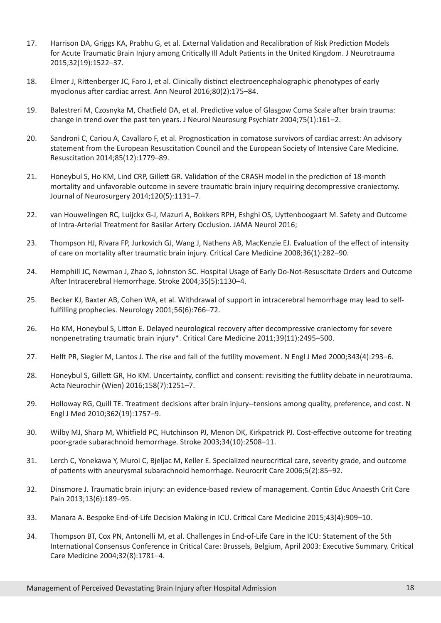- 17. Harrison DA, Griggs KA, Prabhu G, et al. External Validation and Recalibration of Risk Prediction Models for Acute Traumatic Brain Injury among Critically Ill Adult Patients in the United Kingdom. J Neurotrauma 2015;32(19):1522–37.
- 18. Elmer J, Rittenberger JC, Faro J, et al. Clinically distinct electroencephalographic phenotypes of early myoclonus after cardiac arrest. Ann Neurol 2016;80(2):175–84.
- 19. Balestreri M, Czosnyka M, Chatfield DA, et al. Predictive value of Glasgow Coma Scale after brain trauma: change in trend over the past ten years. J Neurol Neurosurg Psychiatr 2004;75(1):161–2.
- 20. Sandroni C, Cariou A, Cavallaro F, et al. Prognostication in comatose survivors of cardiac arrest: An advisory statement from the European Resuscitation Council and the European Society of Intensive Care Medicine. Resuscitation 2014;85(12):1779–89.
- 21. Honeybul S, Ho KM, Lind CRP, Gillett GR. Validation of the CRASH model in the prediction of 18-month mortality and unfavorable outcome in severe traumatic brain injury requiring decompressive craniectomy. Journal of Neurosurgery 2014;120(5):1131–7.
- 22. van Houwelingen RC, Luijckx G-J, Mazuri A, Bokkers RPH, Eshghi OS, Uyttenboogaart M. Safety and Outcome of Intra-Arterial Treatment for Basilar Artery Occlusion. JAMA Neurol 2016;
- 23. Thompson HJ, Rivara FP, Jurkovich GJ, Wang J, Nathens AB, MacKenzie EJ. Evaluation of the effect of intensity of care on mortality after traumatic brain injury. Critical Care Medicine 2008;36(1):282–90.
- 24. Hemphill JC, Newman J, Zhao S, Johnston SC. Hospital Usage of Early Do-Not-Resuscitate Orders and Outcome After Intracerebral Hemorrhage. Stroke 2004;35(5):1130–4.
- 25. Becker KJ, Baxter AB, Cohen WA, et al. Withdrawal of support in intracerebral hemorrhage may lead to selffulfilling prophecies. Neurology 2001;56(6):766–72.
- 26. Ho KM, Honeybul S, Litton E. Delayed neurological recovery after decompressive craniectomy for severe nonpenetrating traumatic brain injury\*. Critical Care Medicine 2011;39(11):2495–500.
- 27. Helft PR, Siegler M, Lantos J. The rise and fall of the futility movement. N Engl J Med 2000;343(4):293–6.
- 28. Honeybul S, Gillett GR, Ho KM. Uncertainty, conflict and consent: revisiting the futility debate in neurotrauma. Acta Neurochir (Wien) 2016;158(7):1251–7.
- 29. Holloway RG, Quill TE. Treatment decisions after brain injury--tensions among quality, preference, and cost. N Engl J Med 2010;362(19):1757–9.
- 30. Wilby MJ, Sharp M, Whitfield PC, Hutchinson PJ, Menon DK, Kirkpatrick PJ. Cost-effective outcome for treating poor-grade subarachnoid hemorrhage. Stroke 2003;34(10):2508–11.
- 31. Lerch C, Yonekawa Y, Muroi C, Bjeljac M, Keller E. Specialized neurocritical care, severity grade, and outcome of patients with aneurysmal subarachnoid hemorrhage. Neurocrit Care 2006;5(2):85–92.
- 32. Dinsmore J. Traumatic brain injury: an evidence-based review of management. Contin Educ Anaesth Crit Care Pain 2013;13(6):189–95.
- 33. Manara A. Bespoke End-of-Life Decision Making in ICU. Critical Care Medicine 2015;43(4):909–10.
- 34. Thompson BT, Cox PN, Antonelli M, et al. Challenges in End-of-Life Care in the ICU: Statement of the 5th International Consensus Conference in Critical Care: Brussels, Belgium, April 2003: Executive Summary. Critical Care Medicine 2004;32(8):1781–4.